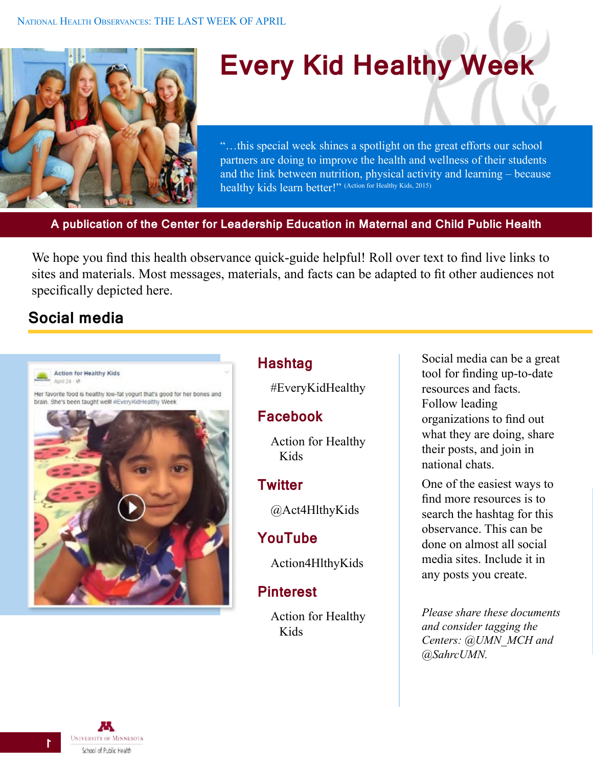

# **Every Kid Healthy Week**

"…this special week shines a spotlight on the great efforts our school partners are doing to improve the health and wellness of their students and the link between nutrition, physical activity and learning – because healthy kids learn better!" (Action for Healthy Kids, 2015)

**A publication of the Center for Leadership Education in Maternal and Child Public Health**

We hope you find this health observance quick-guide helpful! Roll over text to find live links to sites and materials. Most messages, materials, and facts can be adapted to fit other audiences not specifically depicted here.

# **Social media**



#### **Hashtag**

#EveryKidHealthy

#### **Facebook**

[Action for Healthy](https://www.facebook.com/act4healthykids)  [Kids](https://www.facebook.com/act4healthykids)

#### **Twitter**

[@Act4HlthyKids](https://twitter.com/Act4HlthyKids)

#### **YouTube**

[Action4HlthyKids](https://www.youtube.com/user/Action4HlthyKids)

#### **Pinterest**

[Action for Healthy](https://www.pinterest.com/act4healthykids/)  [Kids](https://www.pinterest.com/act4healthykids/)

Social media can be a great tool for finding up-to-date resources and facts. Follow leading organizations to find out what they are doing, share their posts, and join in national chats.

One of the easiest ways to find more resources is to search the hashtag for this observance. This can be done on almost all social media sites. Include it in any posts you create.

*Please share these documents and consider tagging the Centers: [@UMN\\_MCH](https://twitter.com/UMN_MCH) and @SahrcUMN.*